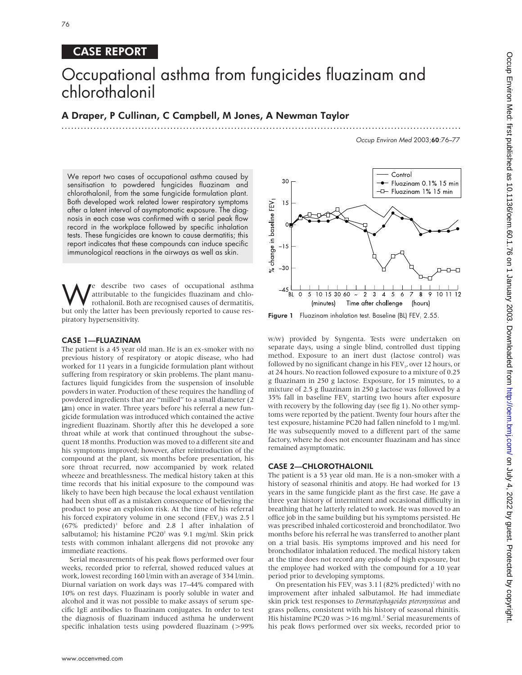# CASE REPORT

# Occupational asthma from fungicides fluazinam and chlorothalonil

# A Draper, P Cullinan, C Campbell, M Jones, A Newman Taylor .............................................................................................................................

Occup Environ Med 2003;60:76–77

We report two cases of occupational asthma caused by sensitisation to powdered fungicides fluazinam and chlorothalonil, from the same fungicide formulation plant. Both developed work related lower respiratory symptoms after a latent interval of asymptomatic exposure. The diagnosis in each case was confirmed with a serial peak flow record in the workplace followed by specific inhalation tests. These fungicides are known to cause dermatitis; this report indicates that these compounds can induce specific immunological reactions in the airways as well as skin.

**We** describe two cases of occupational asthma<br>
rothalonil. Both are recognised causes of dermatitis,<br>
but only the latter has been previously reported to cause res attributable to the fungicides fluazinam and chlobut only the latter has been previously reported to cause respiratory hypersensitivity.

## CASE 1—FLUAZINAM

The patient is a 45 year old man. He is an ex-smoker with no previous history of respiratory or atopic disease, who had worked for 11 years in a fungicide formulation plant without suffering from respiratory or skin problems. The plant manufactures liquid fungicides from the suspension of insoluble powders in water. Production of these requires the handling of powdered ingredients that are "milled" to a small diameter (2 µm) once in water. Three years before his referral a new fungicide formulation was introduced which contained the active ingredient fluazinam. Shortly after this he developed a sore throat while at work that continued throughout the subsequent 18 months. Production was moved to a different site and his symptoms improved; however, after reintroduction of the compound at the plant, six months before presentation, his sore throat recurred, now accompanied by work related wheeze and breathlessness. The medical history taken at this time records that his initial exposure to the compound was likely to have been high because the local exhaust ventilation had been shut off as a mistaken consequence of believing the product to pose an explosion risk. At the time of his referral his forced expiratory volume in one second (FEV<sub>1</sub>) was  $2.5$  l  $(67\%$  predicted)<sup>1</sup> before and 2.8 l after inhalation of salbutamol; his histamine PC20<sup>2</sup> was 9.1 mg/ml. Skin prick tests with common inhalant allergens did not provoke any immediate reactions.

Serial measurements of his peak flows performed over four weeks, recorded prior to referral, showed reduced values at work, lowest recording 160 l/min with an average of 334 l/min. Diurnal variation on work days was 17–44% compared with 10% on rest days. Fluazinam is poorly soluble in water and alcohol and it was not possible to make assays of serum specific IgE antibodies to fluazinam conjugates. In order to test the diagnosis of fluazinam induced asthma he underwent specific inhalation tests using powdered fluazinam (>99%



Figure 1 Fluazinam inhalation test. Baseline (BL) FEV, 2.55.

w/w) provided by Syngenta. Tests were undertaken on separate days, using a single blind, controlled dust tipping method. Exposure to an inert dust (lactose control) was followed by no significant change in his FEV<sub>1</sub>, over 12 hours, or at 24 hours. No reaction followed exposure to a mixture of 0.25 g fluazinam in 250 g lactose. Exposure, for 15 minutes, to a mixture of 2.5 g fluazinam in 250 g lactose was followed by a 35% fall in baseline  $FEV<sub>1</sub>$  starting two hours after exposure with recovery by the following day (see fig 1). No other symptoms were reported by the patient. Twenty four hours after the test exposure, histamine PC20 had fallen ninefold to 1 mg/ml. He was subsequently moved to a different part of the same factory, where he does not encounter fluazinam and has since remained asymptomatic.

# CASE 2—CHLOROTHALONIL

The patient is a 53 year old man. He is a non-smoker with a history of seasonal rhinitis and atopy. He had worked for 13 years in the same fungicide plant as the first case. He gave a three year history of intermittent and occasional difficulty in breathing that he latterly related to work. He was moved to an office job in the same building but his symptoms persisted. He was prescribed inhaled corticosteroid and bronchodilator. Two months before his referral he was transferred to another plant on a trial basis. His symptoms improved and his need for bronchodilator inhalation reduced. The medical history taken at the time does not record any episode of high exposure, but the employee had worked with the compound for a 10 year period prior to developing symptoms.

On presentation his FEV, was 3.1 l (82% predicted)<sup>1</sup> with no improvement after inhaled salbutamol. He had immediate skin prick test responses to *Dermatophagoides pteronyssinus* and grass pollens, consistent with his history of seasonal rhinitis. His histamine PC20 was >16 mg/ml.<sup>2</sup> Serial measurements of his peak flows performed over six weeks, recorded prior to